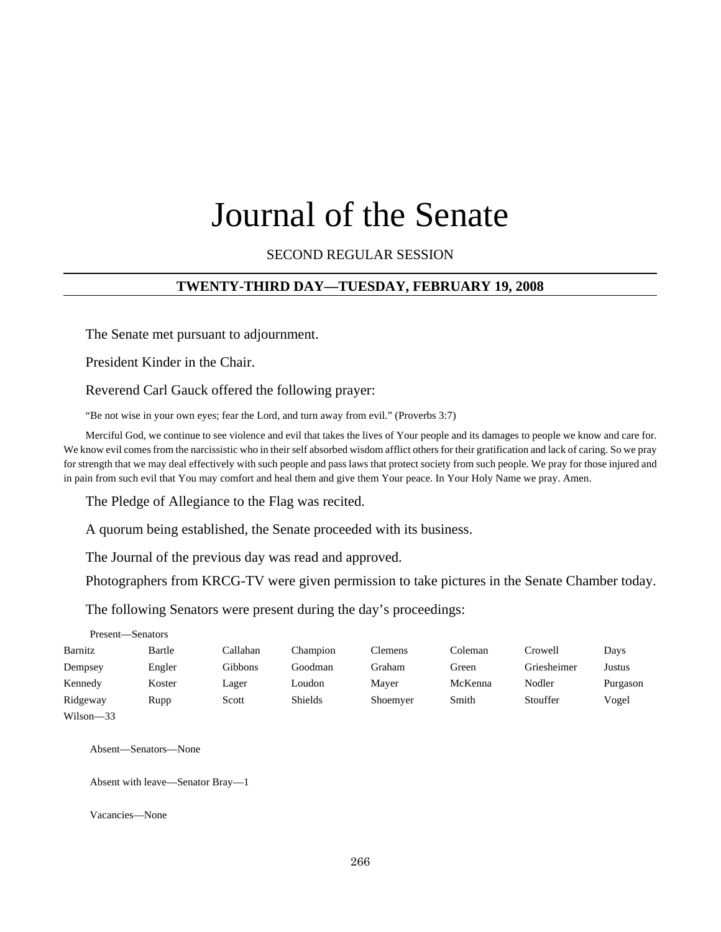# Journal of the Senate

### SECOND REGULAR SESSION

### **TWENTY-THIRD DAY—TUESDAY, FEBRUARY 19, 2008**

The Senate met pursuant to adjournment.

President Kinder in the Chair.

Reverend Carl Gauck offered the following prayer:

"Be not wise in your own eyes; fear the Lord, and turn away from evil." (Proverbs 3:7)

Merciful God, we continue to see violence and evil that takes the lives of Your people and its damages to people we know and care for. We know evil comes from the narcissistic who in their self absorbed wisdom afflict others for their gratification and lack of caring. So we pray for strength that we may deal effectively with such people and pass laws that protect society from such people. We pray for those injured and in pain from such evil that You may comfort and heal them and give them Your peace. In Your Holy Name we pray. Amen.

The Pledge of Allegiance to the Flag was recited.

A quorum being established, the Senate proceeded with its business.

The Journal of the previous day was read and approved.

Photographers from KRCG-TV were given permission to take pictures in the Senate Chamber today.

The following Senators were present during the day's proceedings:

| Present—Senators |        |          |          |          |         |             |          |
|------------------|--------|----------|----------|----------|---------|-------------|----------|
| Barnitz          | Bartle | Callahan | Champion | Clemens  | Coleman | Crowell     | Days     |
| Dempsey          | Engler | Gibbons  | Goodman  | Graham   | Green   | Griesheimer | Justus   |
| Kennedy          | Koster | Lager    | Loudon   | Mayer    | McKenna | Nodler      | Purgason |
| Ridgeway         | Rupp   | Scott    | Shields  | Shoemyer | Smith   | Stouffer    | Vogel    |
| Wilson-33        |        |          |          |          |         |             |          |

Absent—Senators—None

Absent with leave—Senator Bray—1

Vacancies—None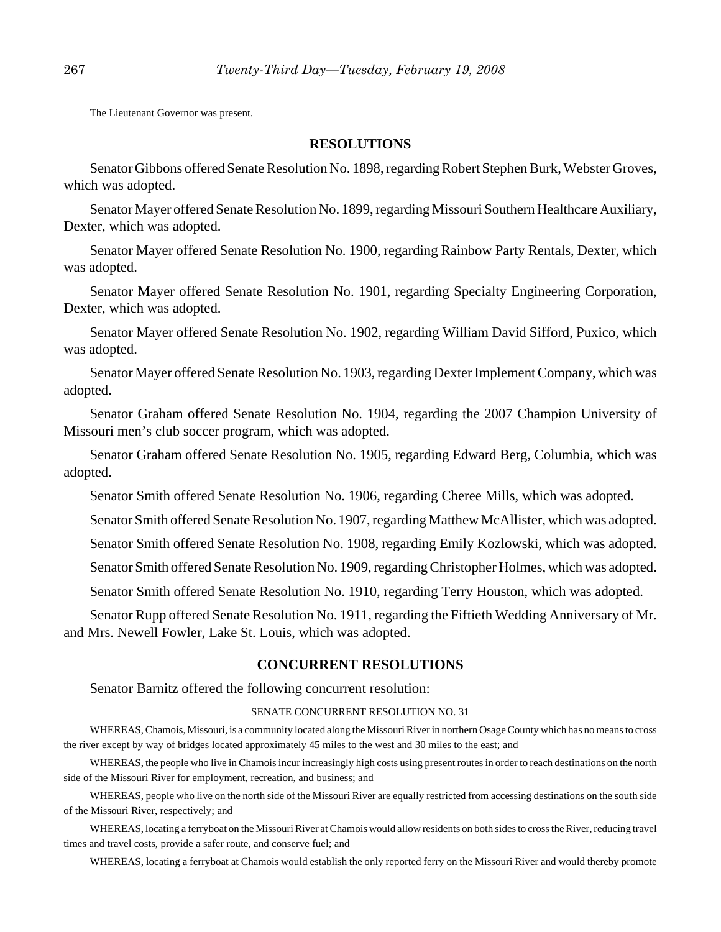The Lieutenant Governor was present.

### **RESOLUTIONS**

Senator Gibbons offered Senate Resolution No. 1898, regarding Robert Stephen Burk, Webster Groves, which was adopted.

Senator Mayer offered Senate Resolution No. 1899, regarding Missouri Southern Healthcare Auxiliary, Dexter, which was adopted.

Senator Mayer offered Senate Resolution No. 1900, regarding Rainbow Party Rentals, Dexter, which was adopted.

Senator Mayer offered Senate Resolution No. 1901, regarding Specialty Engineering Corporation, Dexter, which was adopted.

Senator Mayer offered Senate Resolution No. 1902, regarding William David Sifford, Puxico, which was adopted.

Senator Mayer offered Senate Resolution No. 1903, regarding Dexter Implement Company, which was adopted.

Senator Graham offered Senate Resolution No. 1904, regarding the 2007 Champion University of Missouri men's club soccer program, which was adopted.

Senator Graham offered Senate Resolution No. 1905, regarding Edward Berg, Columbia, which was adopted.

Senator Smith offered Senate Resolution No. 1906, regarding Cheree Mills, which was adopted.

Senator Smith offered Senate Resolution No. 1907, regarding Matthew McAllister, which was adopted.

Senator Smith offered Senate Resolution No. 1908, regarding Emily Kozlowski, which was adopted.

Senator Smith offered Senate Resolution No. 1909, regarding Christopher Holmes, which was adopted.

Senator Smith offered Senate Resolution No. 1910, regarding Terry Houston, which was adopted.

Senator Rupp offered Senate Resolution No. 1911, regarding the Fiftieth Wedding Anniversary of Mr. and Mrs. Newell Fowler, Lake St. Louis, which was adopted.

#### **CONCURRENT RESOLUTIONS**

Senator Barnitz offered the following concurrent resolution:

#### SENATE CONCURRENT RESOLUTION NO. 31

WHEREAS, Chamois, Missouri, is a community located along the Missouri River in northern Osage County which has no means to cross the river except by way of bridges located approximately 45 miles to the west and 30 miles to the east; and

WHEREAS, the people who live in Chamois incur increasingly high costs using present routes in order to reach destinations on the north side of the Missouri River for employment, recreation, and business; and

WHEREAS, people who live on the north side of the Missouri River are equally restricted from accessing destinations on the south side of the Missouri River, respectively; and

WHEREAS, locating a ferryboat on the Missouri River at Chamois would allow residents on both sides to cross the River, reducing travel times and travel costs, provide a safer route, and conserve fuel; and

WHEREAS, locating a ferryboat at Chamois would establish the only reported ferry on the Missouri River and would thereby promote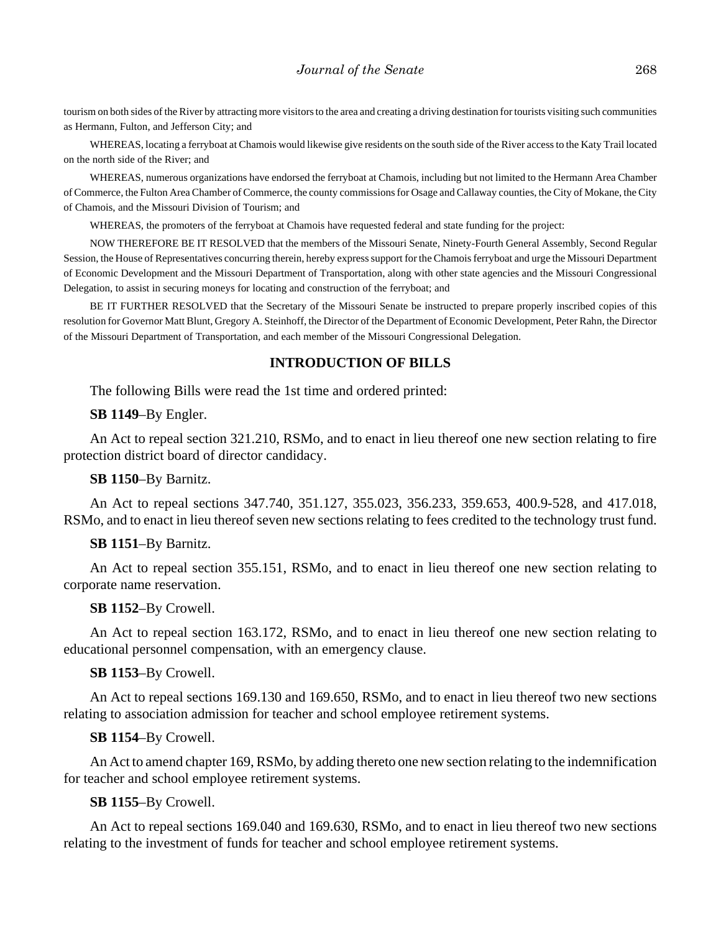tourism on both sides of the River by attracting more visitors to the area and creating a driving destination for tourists visiting such communities as Hermann, Fulton, and Jefferson City; and

WHEREAS, locating a ferryboat at Chamois would likewise give residents on the south side of the River access to the Katy Trail located on the north side of the River; and

WHEREAS, numerous organizations have endorsed the ferryboat at Chamois, including but not limited to the Hermann Area Chamber of Commerce, the Fulton Area Chamber of Commerce, the county commissions for Osage and Callaway counties, the City of Mokane, the City of Chamois, and the Missouri Division of Tourism; and

WHEREAS, the promoters of the ferryboat at Chamois have requested federal and state funding for the project:

NOW THEREFORE BE IT RESOLVED that the members of the Missouri Senate, Ninety-Fourth General Assembly, Second Regular Session, the House of Representatives concurring therein, hereby express support for the Chamois ferryboat and urge the Missouri Department of Economic Development and the Missouri Department of Transportation, along with other state agencies and the Missouri Congressional Delegation, to assist in securing moneys for locating and construction of the ferryboat; and

BE IT FURTHER RESOLVED that the Secretary of the Missouri Senate be instructed to prepare properly inscribed copies of this resolution for Governor Matt Blunt, Gregory A. Steinhoff, the Director of the Department of Economic Development, Peter Rahn, the Director of the Missouri Department of Transportation, and each member of the Missouri Congressional Delegation.

### **INTRODUCTION OF BILLS**

The following Bills were read the 1st time and ordered printed:

**SB 1149**–By Engler.

An Act to repeal section 321.210, RSMo, and to enact in lieu thereof one new section relating to fire protection district board of director candidacy.

**SB 1150**–By Barnitz.

An Act to repeal sections 347.740, 351.127, 355.023, 356.233, 359.653, 400.9-528, and 417.018, RSMo, and to enact in lieu thereof seven new sections relating to fees credited to the technology trust fund.

#### **SB 1151**–By Barnitz.

An Act to repeal section 355.151, RSMo, and to enact in lieu thereof one new section relating to corporate name reservation.

#### **SB 1152**–By Crowell.

An Act to repeal section 163.172, RSMo, and to enact in lieu thereof one new section relating to educational personnel compensation, with an emergency clause.

#### **SB 1153**–By Crowell.

An Act to repeal sections 169.130 and 169.650, RSMo, and to enact in lieu thereof two new sections relating to association admission for teacher and school employee retirement systems.

#### **SB 1154**–By Crowell.

An Act to amend chapter 169, RSMo, by adding thereto one new section relating to the indemnification for teacher and school employee retirement systems.

### **SB 1155**–By Crowell.

An Act to repeal sections 169.040 and 169.630, RSMo, and to enact in lieu thereof two new sections relating to the investment of funds for teacher and school employee retirement systems.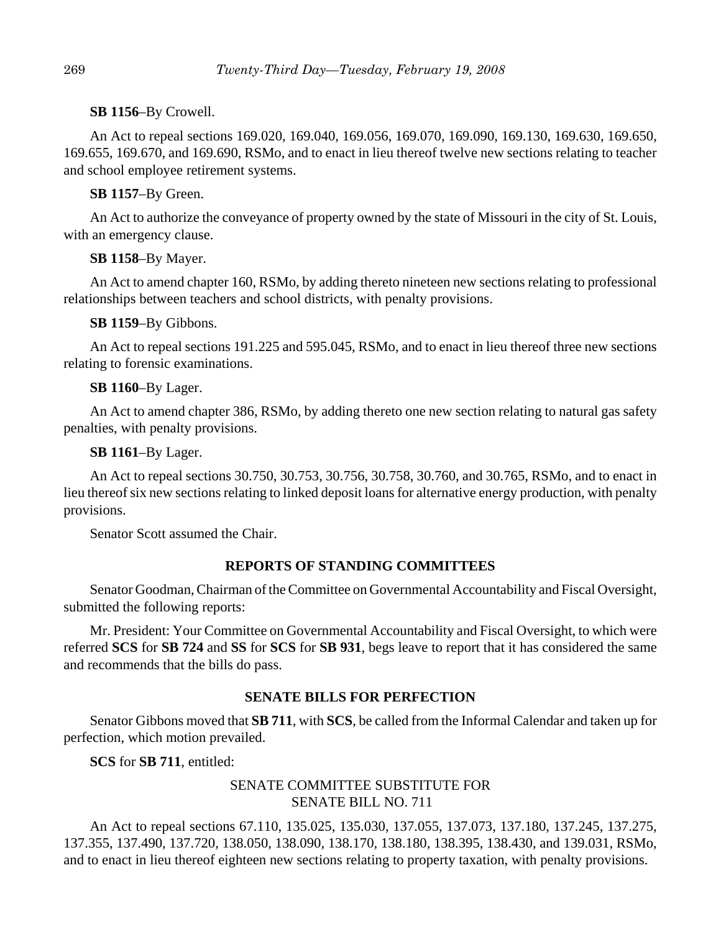**SB 1156**–By Crowell.

An Act to repeal sections 169.020, 169.040, 169.056, 169.070, 169.090, 169.130, 169.630, 169.650, 169.655, 169.670, and 169.690, RSMo, and to enact in lieu thereof twelve new sections relating to teacher and school employee retirement systems.

**SB 1157**–By Green.

An Act to authorize the conveyance of property owned by the state of Missouri in the city of St. Louis, with an emergency clause.

**SB 1158**–By Mayer.

An Act to amend chapter 160, RSMo, by adding thereto nineteen new sections relating to professional relationships between teachers and school districts, with penalty provisions.

**SB 1159**–By Gibbons.

An Act to repeal sections 191.225 and 595.045, RSMo, and to enact in lieu thereof three new sections relating to forensic examinations.

### **SB 1160**–By Lager.

An Act to amend chapter 386, RSMo, by adding thereto one new section relating to natural gas safety penalties, with penalty provisions.

**SB 1161**–By Lager.

An Act to repeal sections 30.750, 30.753, 30.756, 30.758, 30.760, and 30.765, RSMo, and to enact in lieu thereof six new sections relating to linked deposit loans for alternative energy production, with penalty provisions.

Senator Scott assumed the Chair.

### **REPORTS OF STANDING COMMITTEES**

Senator Goodman, Chairman of the Committee on Governmental Accountability and Fiscal Oversight, submitted the following reports:

Mr. President: Your Committee on Governmental Accountability and Fiscal Oversight, to which were referred **SCS** for **SB 724** and **SS** for **SCS** for **SB 931**, begs leave to report that it has considered the same and recommends that the bills do pass.

### **SENATE BILLS FOR PERFECTION**

Senator Gibbons moved that **SB 711**, with **SCS**, be called from the Informal Calendar and taken up for perfection, which motion prevailed.

**SCS** for **SB 711**, entitled:

### SENATE COMMITTEE SUBSTITUTE FOR SENATE BILL NO. 711

An Act to repeal sections 67.110, 135.025, 135.030, 137.055, 137.073, 137.180, 137.245, 137.275, 137.355, 137.490, 137.720, 138.050, 138.090, 138.170, 138.180, 138.395, 138.430, and 139.031, RSMo, and to enact in lieu thereof eighteen new sections relating to property taxation, with penalty provisions.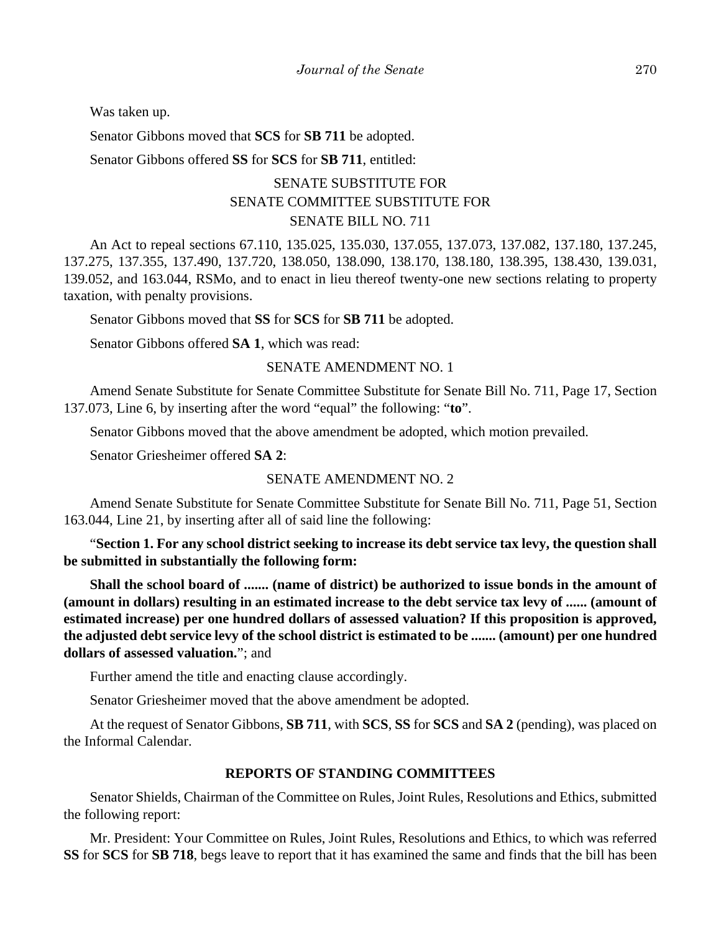Was taken up.

Senator Gibbons moved that **SCS** for **SB 711** be adopted.

Senator Gibbons offered **SS** for **SCS** for **SB 711**, entitled:

## SENATE SUBSTITUTE FOR SENATE COMMITTEE SUBSTITUTE FOR SENATE BILL NO. 711

An Act to repeal sections 67.110, 135.025, 135.030, 137.055, 137.073, 137.082, 137.180, 137.245, 137.275, 137.355, 137.490, 137.720, 138.050, 138.090, 138.170, 138.180, 138.395, 138.430, 139.031, 139.052, and 163.044, RSMo, and to enact in lieu thereof twenty-one new sections relating to property taxation, with penalty provisions.

Senator Gibbons moved that **SS** for **SCS** for **SB 711** be adopted.

Senator Gibbons offered **SA 1**, which was read:

#### SENATE AMENDMENT NO. 1

Amend Senate Substitute for Senate Committee Substitute for Senate Bill No. 711, Page 17, Section 137.073, Line 6, by inserting after the word "equal" the following: "**to**".

Senator Gibbons moved that the above amendment be adopted, which motion prevailed.

Senator Griesheimer offered **SA 2**:

### SENATE AMENDMENT NO. 2

Amend Senate Substitute for Senate Committee Substitute for Senate Bill No. 711, Page 51, Section 163.044, Line 21, by inserting after all of said line the following:

"**Section 1. For any school district seeking to increase its debt service tax levy, the question shall be submitted in substantially the following form:** 

**Shall the school board of ....... (name of district) be authorized to issue bonds in the amount of (amount in dollars) resulting in an estimated increase to the debt service tax levy of ...... (amount of estimated increase) per one hundred dollars of assessed valuation? If this proposition is approved, the adjusted debt service levy of the school district is estimated to be ....... (amount) per one hundred dollars of assessed valuation.**"; and

Further amend the title and enacting clause accordingly.

Senator Griesheimer moved that the above amendment be adopted.

At the request of Senator Gibbons, **SB 711**, with **SCS**, **SS** for **SCS** and **SA 2** (pending), was placed on the Informal Calendar.

### **REPORTS OF STANDING COMMITTEES**

Senator Shields, Chairman of the Committee on Rules, Joint Rules, Resolutions and Ethics, submitted the following report:

Mr. President: Your Committee on Rules, Joint Rules, Resolutions and Ethics, to which was referred **SS** for **SCS** for **SB 718**, begs leave to report that it has examined the same and finds that the bill has been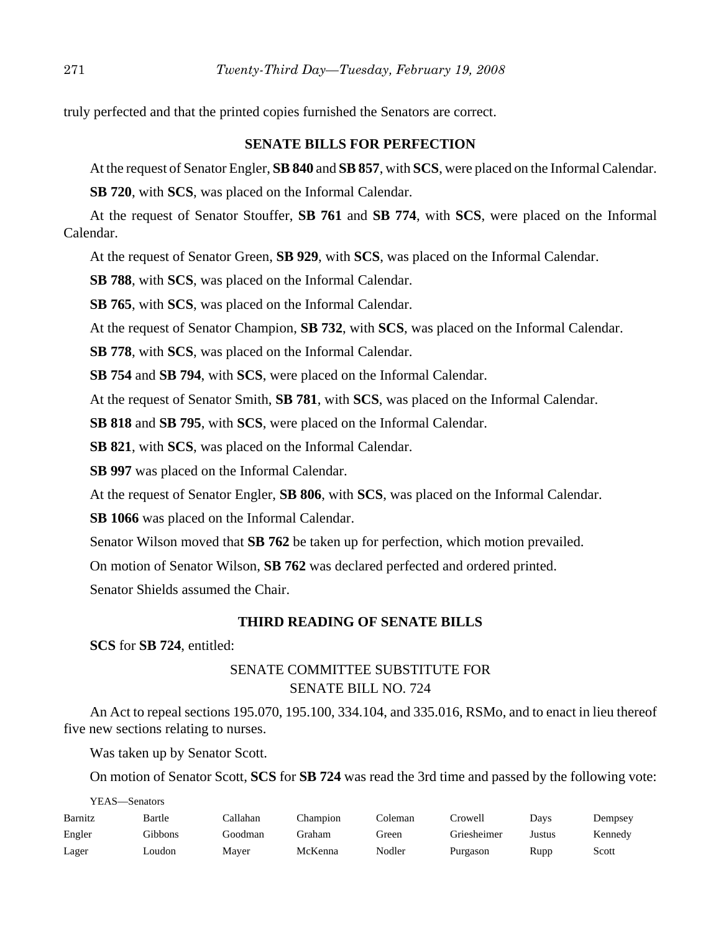truly perfected and that the printed copies furnished the Senators are correct.

### **SENATE BILLS FOR PERFECTION**

At the request of Senator Engler, **SB 840** and **SB 857**, with **SCS**, were placed on the Informal Calendar.

**SB 720**, with **SCS**, was placed on the Informal Calendar.

At the request of Senator Stouffer, **SB 761** and **SB 774**, with **SCS**, were placed on the Informal Calendar.

At the request of Senator Green, **SB 929**, with **SCS**, was placed on the Informal Calendar.

**SB 788**, with **SCS**, was placed on the Informal Calendar.

**SB 765**, with **SCS**, was placed on the Informal Calendar.

At the request of Senator Champion, **SB 732**, with **SCS**, was placed on the Informal Calendar.

**SB 778**, with **SCS**, was placed on the Informal Calendar.

**SB 754** and **SB 794**, with **SCS**, were placed on the Informal Calendar.

At the request of Senator Smith, **SB 781**, with **SCS**, was placed on the Informal Calendar.

**SB 818** and **SB 795**, with **SCS**, were placed on the Informal Calendar.

**SB 821**, with **SCS**, was placed on the Informal Calendar.

**SB 997** was placed on the Informal Calendar.

At the request of Senator Engler, **SB 806**, with **SCS**, was placed on the Informal Calendar.

**SB 1066** was placed on the Informal Calendar.

Senator Wilson moved that **SB 762** be taken up for perfection, which motion prevailed.

On motion of Senator Wilson, **SB 762** was declared perfected and ordered printed.

Senator Shields assumed the Chair.

### **THIRD READING OF SENATE BILLS**

**SCS** for **SB 724**, entitled:

### SENATE COMMITTEE SUBSTITUTE FOR SENATE BILL NO. 724

An Act to repeal sections 195.070, 195.100, 334.104, and 335.016, RSMo, and to enact in lieu thereof five new sections relating to nurses.

Was taken up by Senator Scott.

On motion of Senator Scott, **SCS** for **SB 724** was read the 3rd time and passed by the following vote:

| YEAS—Senators |         |          |          |         |             |        |         |
|---------------|---------|----------|----------|---------|-------------|--------|---------|
| Barnitz       | Bartle  | Callahan | Champion | Coleman | Crowell     | Days   | Dempsey |
| Engler        | Gibbons | Goodman  | Graham   | Green   | Griesheimer | Justus | Kennedy |
| Lager         | Loudon  | Mayer    | McKenna  | Nodler  | Purgason    | Rupp   | Scott   |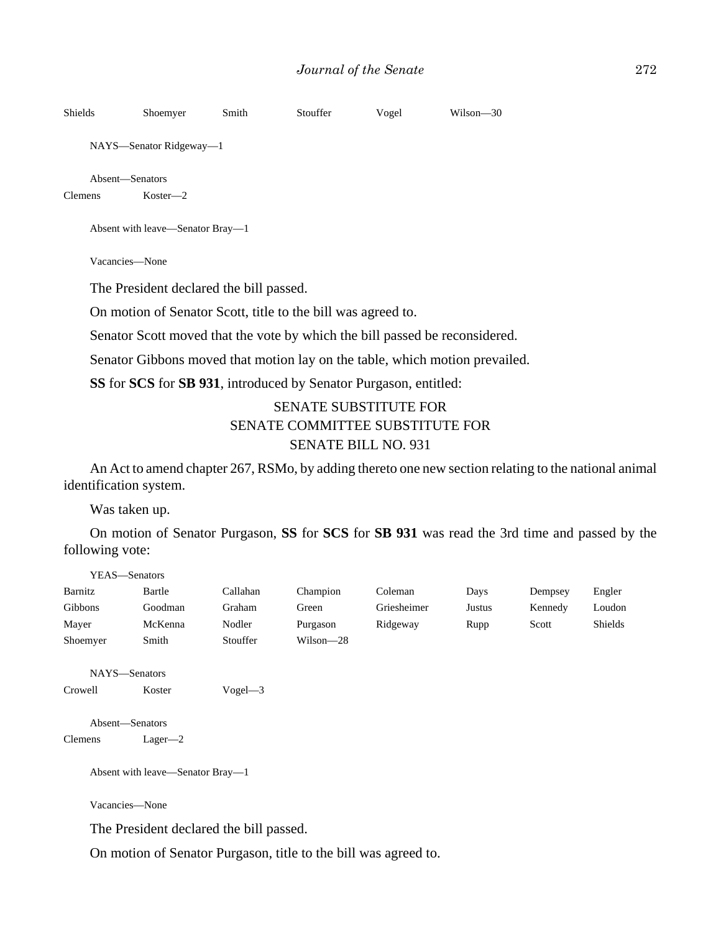| <b>Shields</b> | Shoemyer                                | Smith | Stouffer | Vogel | Wilson-30 |
|----------------|-----------------------------------------|-------|----------|-------|-----------|
|                | NAYS—Senator Ridgeway—1                 |       |          |       |           |
| <b>Clemens</b> | Absent—Senators<br>$Koster-2$           |       |          |       |           |
|                | Absent with leave—Senator Bray—1        |       |          |       |           |
|                | Vacancies-None                          |       |          |       |           |
|                | The President declared the bill passed. |       |          |       |           |

On motion of Senator Scott, title to the bill was agreed to.

Senator Scott moved that the vote by which the bill passed be reconsidered.

Senator Gibbons moved that motion lay on the table, which motion prevailed.

**SS** for **SCS** for **SB 931**, introduced by Senator Purgason, entitled:

### SENATE SUBSTITUTE FOR SENATE COMMITTEE SUBSTITUTE FOR SENATE BILL NO. 931

An Act to amend chapter 267, RSMo, by adding thereto one new section relating to the national animal identification system.

Was taken up.

On motion of Senator Purgason, **SS** for **SCS** for **SB 931** was read the 3rd time and passed by the following vote:

| YEAS—Senators   |                                  |            |           |             |        |         |         |
|-----------------|----------------------------------|------------|-----------|-------------|--------|---------|---------|
| Barnitz         | Bartle                           | Callahan   | Champion  | Coleman     | Days   | Dempsey | Engler  |
| Gibbons         | Goodman                          | Graham     | Green     | Griesheimer | Justus | Kennedy | Loudon  |
| Mayer           | McKenna                          | Nodler     | Purgason  | Ridgeway    | Rupp   | Scott   | Shields |
| Shoemyer        | Smith                            | Stouffer   | Wilson-28 |             |        |         |         |
|                 |                                  |            |           |             |        |         |         |
| NAYS-Senators   |                                  |            |           |             |        |         |         |
| Crowell         | Koster                           | $Vogel$ -3 |           |             |        |         |         |
|                 |                                  |            |           |             |        |         |         |
| Absent-Senators |                                  |            |           |             |        |         |         |
| <b>Clemens</b>  | $Lager-2$                        |            |           |             |        |         |         |
|                 |                                  |            |           |             |        |         |         |
|                 | Absent with leave—Senator Bray—1 |            |           |             |        |         |         |

Vacancies—None

The President declared the bill passed.

On motion of Senator Purgason, title to the bill was agreed to.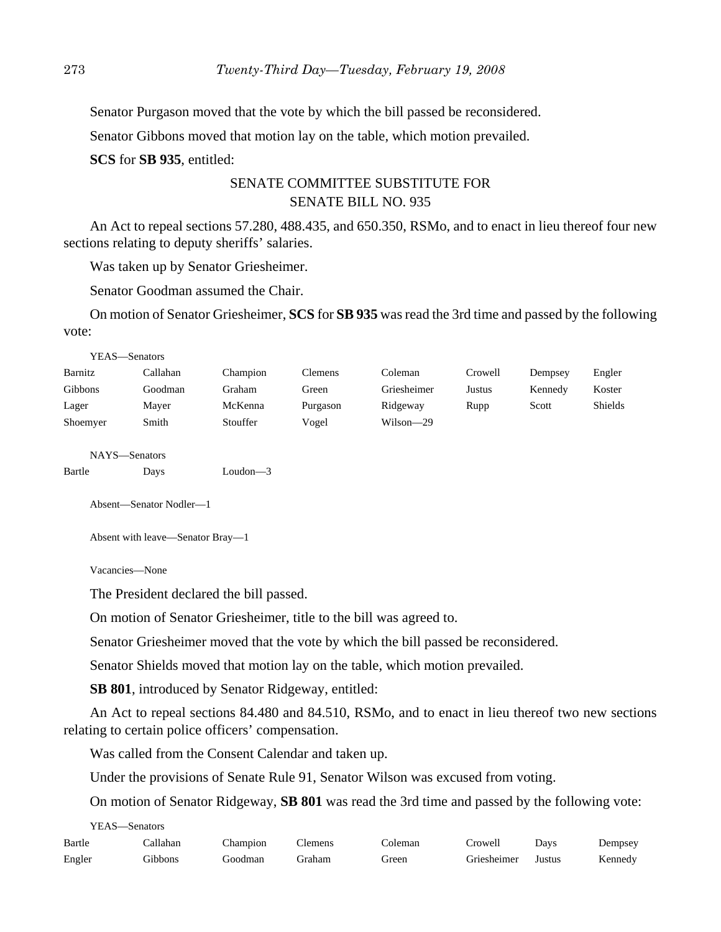Senator Purgason moved that the vote by which the bill passed be reconsidered.

Senator Gibbons moved that motion lay on the table, which motion prevailed.

**SCS** for **SB 935**, entitled:

### SENATE COMMITTEE SUBSTITUTE FOR SENATE BILL NO. 935

An Act to repeal sections 57.280, 488.435, and 650.350, RSMo, and to enact in lieu thereof four new sections relating to deputy sheriffs' salaries.

Was taken up by Senator Griesheimer.

Senator Goodman assumed the Chair.

On motion of Senator Griesheimer, **SCS** for **SB 935** was read the 3rd time and passed by the following vote:

|          | YEAS—Senators |          |                |             |         |         |         |
|----------|---------------|----------|----------------|-------------|---------|---------|---------|
| Barnitz  | Callahan      | Champion | <b>Clemens</b> | Coleman     | Crowell | Dempsey | Engler  |
| Gibbons  | Goodman       | Graham   | Green          | Griesheimer | Justus  | Kennedy | Koster  |
| Lager    | Mayer         | McKenna  | Purgason       | Ridgeway    | Rupp    | Scott   | Shields |
| Shoemyer | Smith         | Stouffer | Vogel          | Wilson-29   |         |         |         |
|          | NAYS—Senators |          |                |             |         |         |         |

Bartle Days Loudon—3

Absent—Senator Nodler—1

Absent with leave—Senator Bray—1

Vacancies—None

The President declared the bill passed.

On motion of Senator Griesheimer, title to the bill was agreed to.

Senator Griesheimer moved that the vote by which the bill passed be reconsidered.

Senator Shields moved that motion lay on the table, which motion prevailed.

**SB 801**, introduced by Senator Ridgeway, entitled:

An Act to repeal sections 84.480 and 84.510, RSMo, and to enact in lieu thereof two new sections relating to certain police officers' compensation.

Was called from the Consent Calendar and taken up.

Under the provisions of Senate Rule 91, Senator Wilson was excused from voting.

On motion of Senator Ridgeway, **SB 801** was read the 3rd time and passed by the following vote:

YEAS—Senators

| Bartle | Callahan | Champion | Clemens | Coleman | Crowell            | Davs | Dempsey |
|--------|----------|----------|---------|---------|--------------------|------|---------|
| Engler | Gibbons  | Goodman  | Graham  | Green   | Griesheimer Justus |      | Kennedy |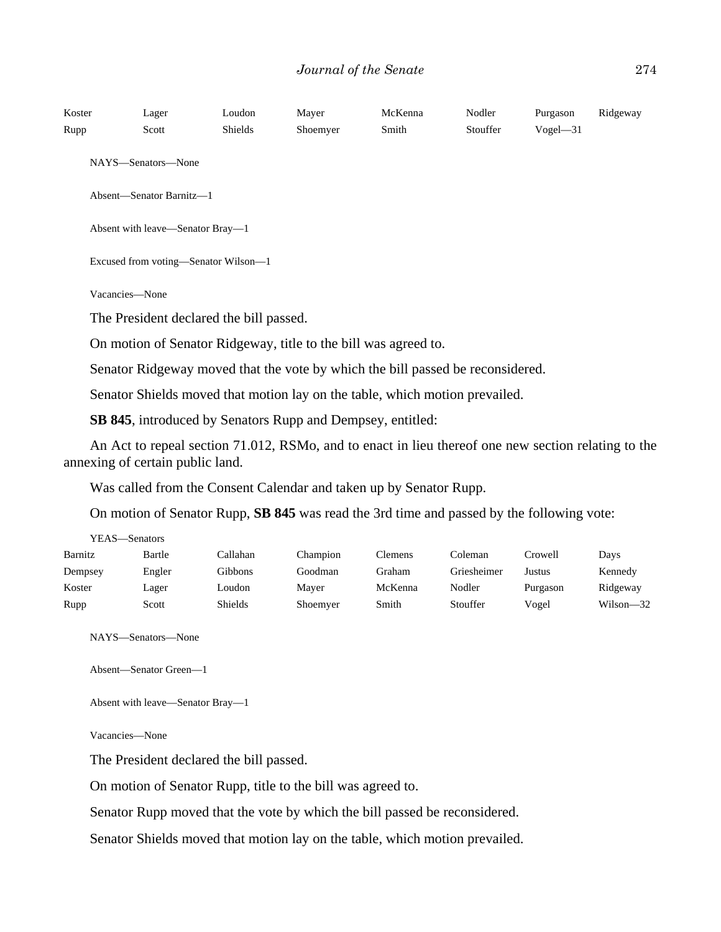| Koster<br>Rupp | Lager<br>Scott                                                              | Loudon<br>Shields | Mayer<br>Shoemyer                                                  | McKenna<br>Smith                                                                                    | Nodler<br>Stouffer | Purgason<br>$Vogel - 31$ | Ridgeway |  |
|----------------|-----------------------------------------------------------------------------|-------------------|--------------------------------------------------------------------|-----------------------------------------------------------------------------------------------------|--------------------|--------------------------|----------|--|
|                | NAYS-Senators-None                                                          |                   |                                                                    |                                                                                                     |                    |                          |          |  |
|                | Absent-Senator Barnitz-1                                                    |                   |                                                                    |                                                                                                     |                    |                          |          |  |
|                | Absent with leave-Senator Bray-1                                            |                   |                                                                    |                                                                                                     |                    |                          |          |  |
|                | Excused from voting-Senator Wilson-1                                        |                   |                                                                    |                                                                                                     |                    |                          |          |  |
| Vacancies-None |                                                                             |                   |                                                                    |                                                                                                     |                    |                          |          |  |
|                | The President declared the bill passed.                                     |                   |                                                                    |                                                                                                     |                    |                          |          |  |
|                |                                                                             |                   | On motion of Senator Ridgeway, title to the bill was agreed to.    |                                                                                                     |                    |                          |          |  |
|                |                                                                             |                   |                                                                    | Senator Ridgeway moved that the vote by which the bill passed be reconsidered.                      |                    |                          |          |  |
|                | Senator Shields moved that motion lay on the table, which motion prevailed. |                   |                                                                    |                                                                                                     |                    |                          |          |  |
|                |                                                                             |                   | <b>SB 845</b> , introduced by Senators Rupp and Dempsey, entitled: |                                                                                                     |                    |                          |          |  |
|                |                                                                             |                   |                                                                    | An Act to repeal section 71.012, RSMo, and to enact in lieu thereof one new section relating to the |                    |                          |          |  |

annexing of certain public land.

Was called from the Consent Calendar and taken up by Senator Rupp.

On motion of Senator Rupp, **SB 845** was read the 3rd time and passed by the following vote:

| YEAS—Senators |        |          |          |         |             |          |               |
|---------------|--------|----------|----------|---------|-------------|----------|---------------|
| Barnitz       | Bartle | Callahan | Champion | Clemens | Coleman     | Crowell  | Days          |
| Dempsey       | Engler | Gibbons  | Goodman  | Graham  | Griesheimer | Justus   | Kennedy       |
| Koster        | Lager  | Loudon   | Maver    | McKenna | Nodler      | Purgason | Ridgeway      |
| Rupp          | Scott  | Shields  | Shoemyer | Smith   | Stouffer    | Vogel    | $Wilson - 32$ |

NAYS—Senators—None

```
Absent—Senator Green—1
```
Absent with leave—Senator Bray—1

Vacancies—None

The President declared the bill passed.

On motion of Senator Rupp, title to the bill was agreed to.

Senator Rupp moved that the vote by which the bill passed be reconsidered.

Senator Shields moved that motion lay on the table, which motion prevailed.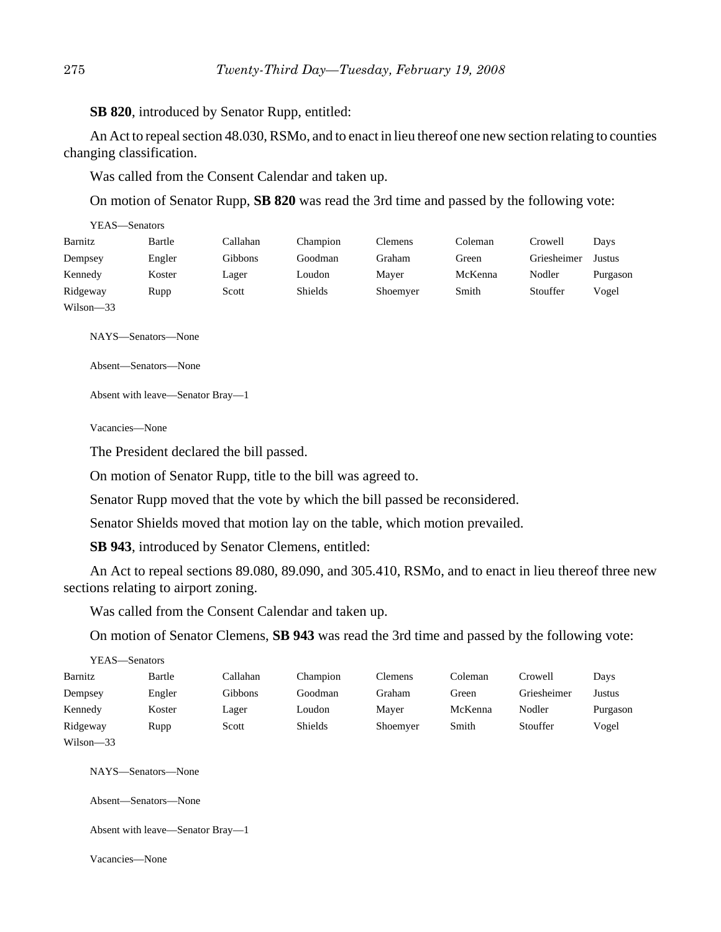**SB 820**, introduced by Senator Rupp, entitled:

An Act to repeal section 48.030, RSMo, and to enact in lieu thereof one new section relating to counties changing classification.

Was called from the Consent Calendar and taken up.

On motion of Senator Rupp, **SB 820** was read the 3rd time and passed by the following vote:

| YEAS—Senators |        |                |          |                |         |             |          |
|---------------|--------|----------------|----------|----------------|---------|-------------|----------|
| Barnitz       | Bartle | Callahan       | Champion | <b>Clemens</b> | Coleman | Crowell     | Days     |
| Dempsey       | Engler | <b>Gibbons</b> | Goodman  | Graham         | Green   | Griesheimer | Justus   |
| Kennedy       | Koster | Lager          | Loudon   | Maver          | McKenna | Nodler      | Purgason |
| Ridgeway      | Rupp   | Scott          | Shields  | Shoemyer       | Smith   | Stouffer    | Vogel    |
| $Wilson - 33$ |        |                |          |                |         |             |          |

NAYS—Senators—None

Absent—Senators—None

Absent with leave—Senator Bray—1

Vacancies—None

The President declared the bill passed.

On motion of Senator Rupp, title to the bill was agreed to.

Senator Rupp moved that the vote by which the bill passed be reconsidered.

Senator Shields moved that motion lay on the table, which motion prevailed.

**SB 943**, introduced by Senator Clemens, entitled:

An Act to repeal sections 89.080, 89.090, and 305.410, RSMo, and to enact in lieu thereof three new sections relating to airport zoning.

Was called from the Consent Calendar and taken up.

On motion of Senator Clemens, **SB 943** was read the 3rd time and passed by the following vote:

| YEAS—Senators |        |          |          |                |         |             |          |
|---------------|--------|----------|----------|----------------|---------|-------------|----------|
| Barnitz       | Bartle | Callahan | Champion | <b>Clemens</b> | Coleman | Crowell     | Days     |
| Dempsey       | Engler | Gibbons  | Goodman  | Graham         | Green   | Griesheimer | Justus   |
| Kennedy       | Koster | Lager    | Loudon   | Mayer          | McKenna | Nodler      | Purgason |
| Ridgeway      | Rupp   | Scott    | Shields  | Shoemyer       | Smith   | Stouffer    | Vogel    |
| $Wilson-33$   |        |          |          |                |         |             |          |

NAYS—Senators—None

Absent—Senators—None

Absent with leave—Senator Bray—1

Vacancies—None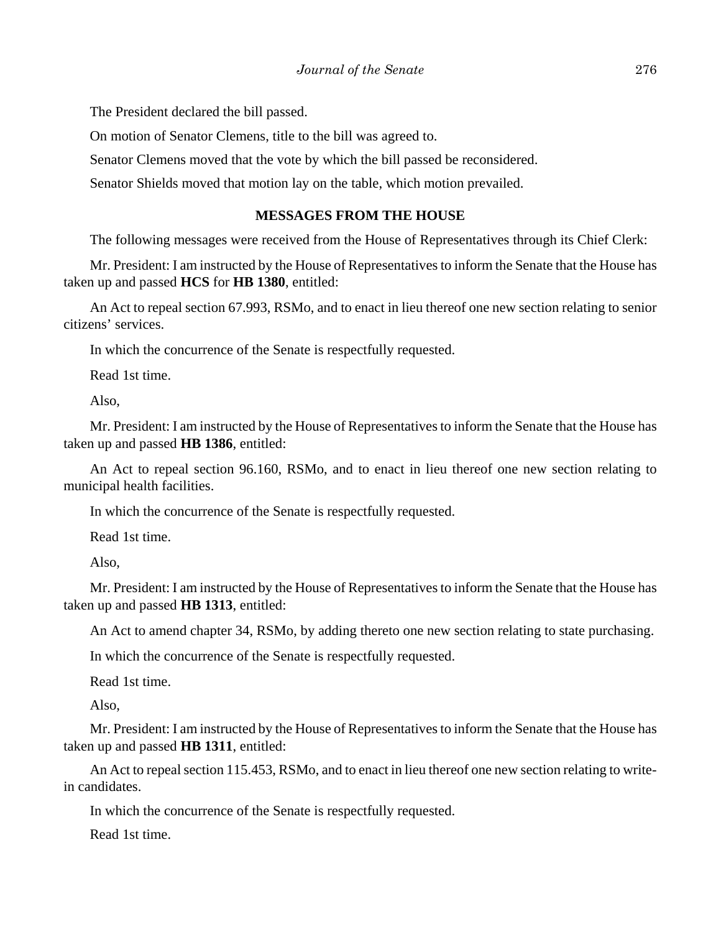The President declared the bill passed.

On motion of Senator Clemens, title to the bill was agreed to.

Senator Clemens moved that the vote by which the bill passed be reconsidered.

Senator Shields moved that motion lay on the table, which motion prevailed.

### **MESSAGES FROM THE HOUSE**

The following messages were received from the House of Representatives through its Chief Clerk:

Mr. President: I am instructed by the House of Representatives to inform the Senate that the House has taken up and passed **HCS** for **HB 1380**, entitled:

An Act to repeal section 67.993, RSMo, and to enact in lieu thereof one new section relating to senior citizens' services.

In which the concurrence of the Senate is respectfully requested.

Read 1st time.

Also,

Mr. President: I am instructed by the House of Representatives to inform the Senate that the House has taken up and passed **HB 1386**, entitled:

An Act to repeal section 96.160, RSMo, and to enact in lieu thereof one new section relating to municipal health facilities.

In which the concurrence of the Senate is respectfully requested.

Read 1st time.

Also,

Mr. President: I am instructed by the House of Representatives to inform the Senate that the House has taken up and passed **HB 1313**, entitled:

An Act to amend chapter 34, RSMo, by adding thereto one new section relating to state purchasing.

In which the concurrence of the Senate is respectfully requested.

Read 1st time.

Also,

Mr. President: I am instructed by the House of Representatives to inform the Senate that the House has taken up and passed **HB 1311**, entitled:

An Act to repeal section 115.453, RSMo, and to enact in lieu thereof one new section relating to writein candidates.

In which the concurrence of the Senate is respectfully requested.

Read 1st time.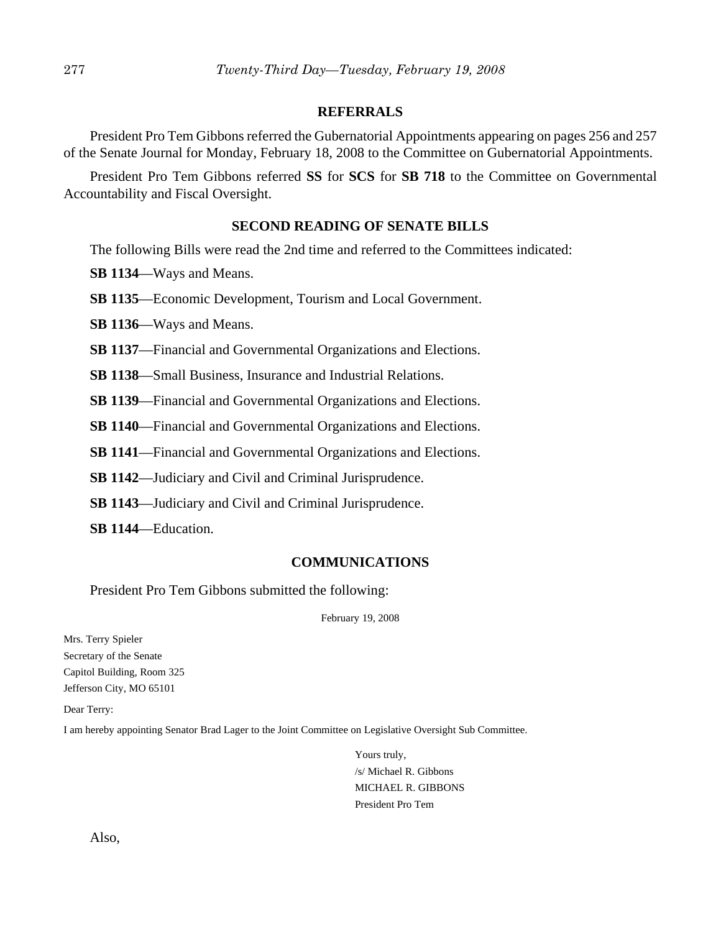### **REFERRALS**

President Pro Tem Gibbons referred the Gubernatorial Appointments appearing on pages 256 and 257 of the Senate Journal for Monday, February 18, 2008 to the Committee on Gubernatorial Appointments.

President Pro Tem Gibbons referred **SS** for **SCS** for **SB 718** to the Committee on Governmental Accountability and Fiscal Oversight.

### **SECOND READING OF SENATE BILLS**

The following Bills were read the 2nd time and referred to the Committees indicated:

**SB 1134**—Ways and Means.

**SB 1135**—Economic Development, Tourism and Local Government.

**SB 1136**—Ways and Means.

**SB 1137**—Financial and Governmental Organizations and Elections.

**SB 1138**—Small Business, Insurance and Industrial Relations.

**SB 1139**—Financial and Governmental Organizations and Elections.

**SB 1140**—Financial and Governmental Organizations and Elections.

**SB 1141**—Financial and Governmental Organizations and Elections.

**SB 1142**—Judiciary and Civil and Criminal Jurisprudence.

**SB 1143**—Judiciary and Civil and Criminal Jurisprudence.

**SB 1144**—Education.

### **COMMUNICATIONS**

President Pro Tem Gibbons submitted the following:

February 19, 2008

Mrs. Terry Spieler Secretary of the Senate Capitol Building, Room 325 Jefferson City, MO 65101

Dear Terry:

I am hereby appointing Senator Brad Lager to the Joint Committee on Legislative Oversight Sub Committee.

Yours truly, /s/ Michael R. Gibbons MICHAEL R. GIBBONS President Pro Tem

Also,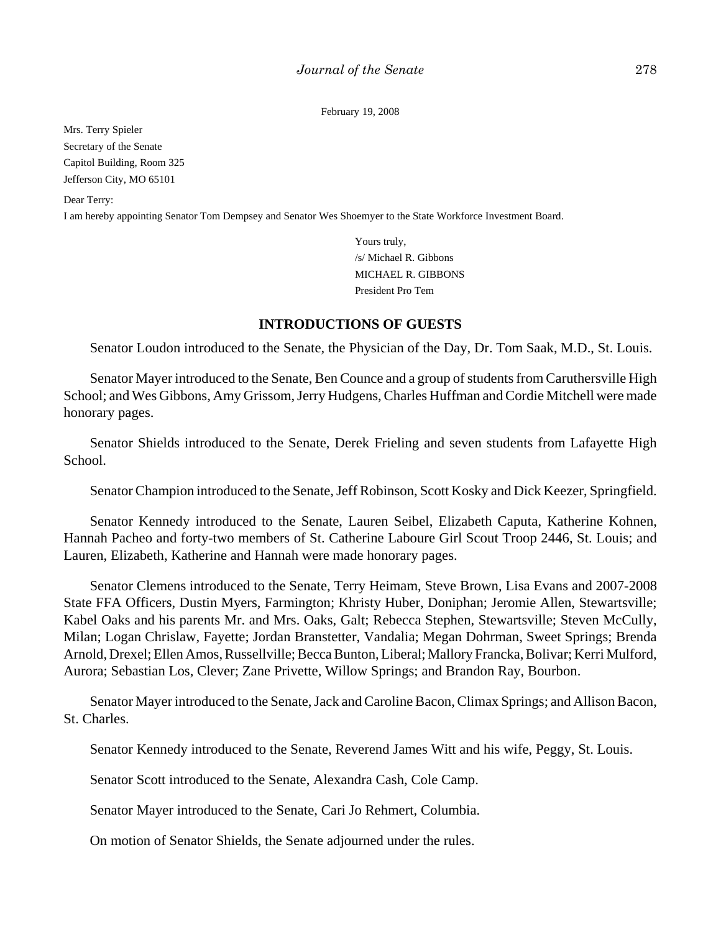February 19, 2008

Mrs. Terry Spieler Secretary of the Senate Capitol Building, Room 325 Jefferson City, MO 65101

Dear Terry:

I am hereby appointing Senator Tom Dempsey and Senator Wes Shoemyer to the State Workforce Investment Board.

Yours truly, /s/ Michael R. Gibbons MICHAEL R. GIBBONS President Pro Tem

### **INTRODUCTIONS OF GUESTS**

Senator Loudon introduced to the Senate, the Physician of the Day, Dr. Tom Saak, M.D., St. Louis.

Senator Mayer introduced to the Senate, Ben Counce and a group of students from Caruthersville High School; and Wes Gibbons, Amy Grissom, Jerry Hudgens, Charles Huffman and Cordie Mitchell were made honorary pages.

Senator Shields introduced to the Senate, Derek Frieling and seven students from Lafayette High School.

Senator Champion introduced to the Senate, Jeff Robinson, Scott Kosky and Dick Keezer, Springfield.

Senator Kennedy introduced to the Senate, Lauren Seibel, Elizabeth Caputa, Katherine Kohnen, Hannah Pacheo and forty-two members of St. Catherine Laboure Girl Scout Troop 2446, St. Louis; and Lauren, Elizabeth, Katherine and Hannah were made honorary pages.

Senator Clemens introduced to the Senate, Terry Heimam, Steve Brown, Lisa Evans and 2007-2008 State FFA Officers, Dustin Myers, Farmington; Khristy Huber, Doniphan; Jeromie Allen, Stewartsville; Kabel Oaks and his parents Mr. and Mrs. Oaks, Galt; Rebecca Stephen, Stewartsville; Steven McCully, Milan; Logan Chrislaw, Fayette; Jordan Branstetter, Vandalia; Megan Dohrman, Sweet Springs; Brenda Arnold, Drexel; Ellen Amos, Russellville; Becca Bunton, Liberal; Mallory Francka, Bolivar; Kerri Mulford, Aurora; Sebastian Los, Clever; Zane Privette, Willow Springs; and Brandon Ray, Bourbon.

Senator Mayer introduced to the Senate, Jack and Caroline Bacon, Climax Springs; and Allison Bacon, St. Charles.

Senator Kennedy introduced to the Senate, Reverend James Witt and his wife, Peggy, St. Louis.

Senator Scott introduced to the Senate, Alexandra Cash, Cole Camp.

Senator Mayer introduced to the Senate, Cari Jo Rehmert, Columbia.

On motion of Senator Shields, the Senate adjourned under the rules.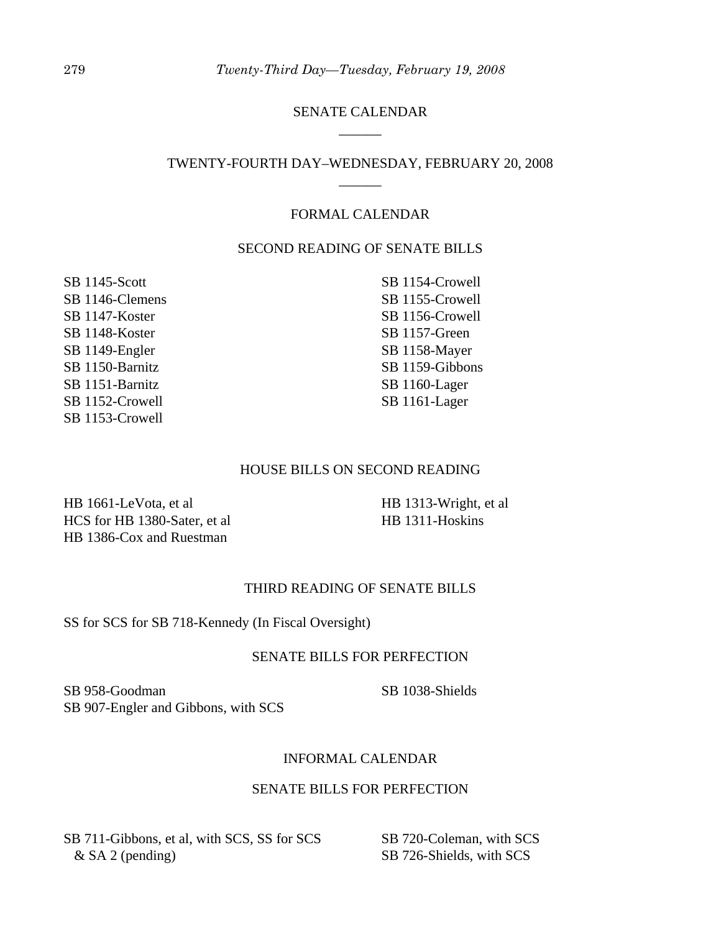### SENATE CALENDAR \_\_\_\_\_\_

### TWENTY-FOURTH DAY–WEDNESDAY, FEBRUARY 20, 2008 \_\_\_\_\_\_

### FORMAL CALENDAR

### SECOND READING OF SENATE BILLS

SB 1145-Scott SB 1146-Clemens SB 1147-Koster SB 1148-Koster SB 1149-Engler SB 1150-Barnitz SB 1151-Barnitz SB 1152-Crowell SB 1153-Crowell

SB 1154-Crowell SB 1155-Crowell SB 1156-Crowell SB 1157-Green SB 1158-Mayer SB 1159-Gibbons SB 1160-Lager SB 1161-Lager

#### HOUSE BILLS ON SECOND READING

HB 1661-LeVota, et al HCS for HB 1380-Sater, et al HB 1386-Cox and Ruestman

HB 1313-Wright, et al HB 1311-Hoskins

### THIRD READING OF SENATE BILLS

#### SS for SCS for SB 718-Kennedy (In Fiscal Oversight)

#### SENATE BILLS FOR PERFECTION

SB 958-Goodman SB 907-Engler and Gibbons, with SCS

SB 1038-Shields

### INFORMAL CALENDAR

#### SENATE BILLS FOR PERFECTION

SB 711-Gibbons, et al, with SCS, SS for SCS & SA 2 (pending)

SB 720-Coleman, with SCS SB 726-Shields, with SCS